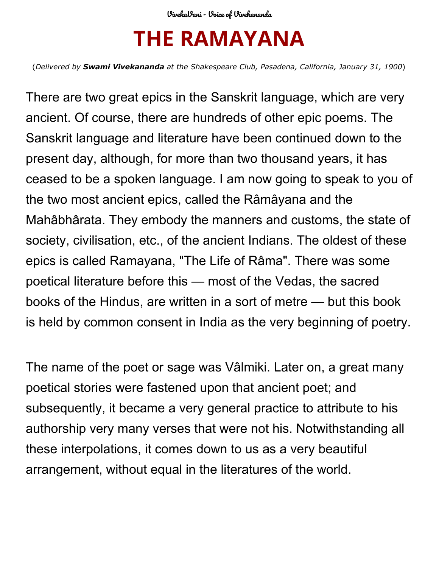## **THE RAMAYANA**

(*Delivered by Swami Vivekananda at the Shakespeare Club, Pasadena, California, January 31, 1900*)

There are two great epics in the Sanskrit language, which are very ancient. Of course, there are hundreds of other epic poems. The Sanskrit language and literature have been continued down to the present day, although, for more than two thousand years, it has ceased to be a spoken language. I am now going to speak to you of the two most ancient epics, called the Râmâyana and the Mahâbhârata. They embody the manners and customs, the state of society, civilisation, etc., of the ancient Indians. The oldest of these epics is called Ramayana, "The Life of Râma". There was some poetical literature before this — most of the Vedas, the sacred books of the Hindus, are written in a sort of metre — but this book is held by common consent in India as the very beginning of poetry.

The name of the poet or sage was Vâlmiki. Later on, a great many poetical stories were fastened upon that ancient poet; and subsequently, it became a very general practice to attribute to his authorship very many verses that were not his. Notwithstanding all these interpolations, it comes down to us as a very beautiful arrangement, without equal in the literatures of the world.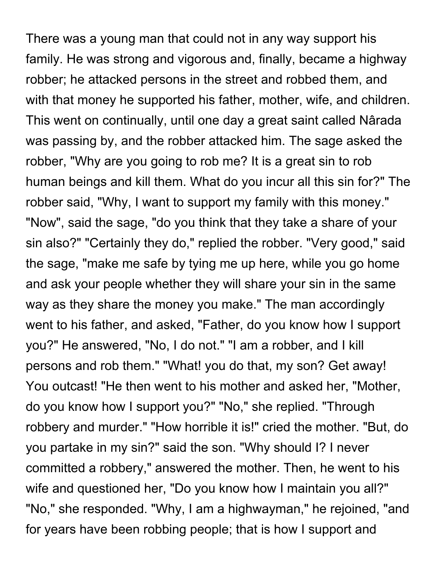There was a young man that could not in any way support his family. He was strong and vigorous and, finally, became a highway robber; he attacked persons in the street and robbed them, and with that money he supported his father, mother, wife, and children. This went on continually, until one day a great saint called Nârada was passing by, and the robber attacked him. The sage asked the robber, "Why are you going to rob me? It is a great sin to rob human beings and kill them. What do you incur all this sin for?" The robber said, "Why, I want to support my family with this money." "Now", said the sage, "do you think that they take a share of your sin also?" "Certainly they do," replied the robber. "Very good," said the sage, "make me safe by tying me up here, while you go home and ask your people whether they will share your sin in the same way as they share the money you make." The man accordingly went to his father, and asked, "Father, do you know how I support you?" He answered, "No, I do not." "I am a robber, and I kill persons and rob them." "What! you do that, my son? Get away! You outcast! "He then went to his mother and asked her, "Mother, do you know how I support you?" "No," she replied. "Through robbery and murder." "How horrible it is!" cried the mother. "But, do you partake in my sin?" said the son. "Why should I? I never committed a robbery," answered the mother. Then, he went to his wife and questioned her, "Do you know how I maintain you all?" "No," she responded. "Why, I am a highwayman," he rejoined, "and for years have been robbing people; that is how I support and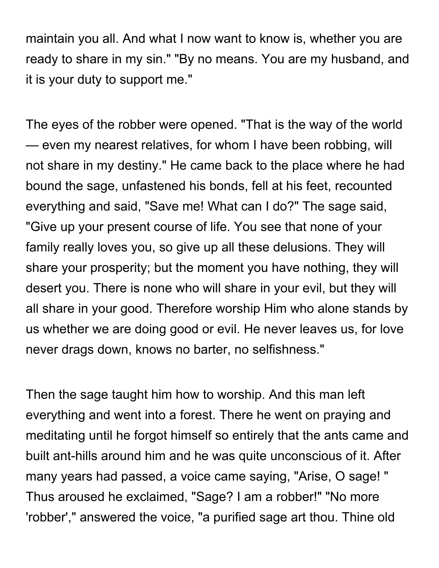maintain you all. And what I now want to know is, whether you are ready to share in my sin." "By no means. You are my husband, and it is your duty to support me."

The eyes of the robber were opened. "That is the way of the world — even my nearest relatives, for whom I have been robbing, will not share in my destiny." He came back to the place where he had bound the sage, unfastened his bonds, fell at his feet, recounted everything and said, "Save me! What can I do?" The sage said, "Give up your present course of life. You see that none of your family really loves you, so give up all these delusions. They will share your prosperity; but the moment you have nothing, they will desert you. There is none who will share in your evil, but they will all share in your good. Therefore worship Him who alone stands by us whether we are doing good or evil. He never leaves us, for love never drags down, knows no barter, no selfishness."

Then the sage taught him how to worship. And this man left everything and went into a forest. There he went on praying and meditating until he forgot himself so entirely that the ants came and built ant-hills around him and he was quite unconscious of it. After many years had passed, a voice came saying, "Arise, O sage! " Thus aroused he exclaimed, "Sage? I am a robber!" "No more 'robber'," answered the voice, "a purified sage art thou. Thine old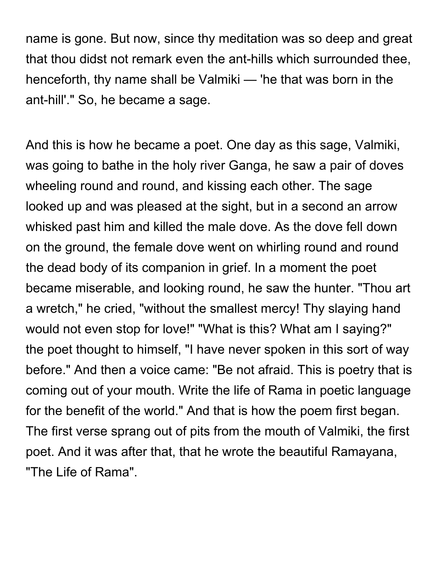name is gone. But now, since thy meditation was so deep and great that thou didst not remark even the ant-hills which surrounded thee, henceforth, thy name shall be Valmiki — 'he that was born in the ant-hill'." So, he became a sage.

And this is how he became a poet. One day as this sage, Valmiki, was going to bathe in the holy river Ganga, he saw a pair of doves wheeling round and round, and kissing each other. The sage looked up and was pleased at the sight, but in a second an arrow whisked past him and killed the male dove. As the dove fell down on the ground, the female dove went on whirling round and round the dead body of its companion in grief. In a moment the poet became miserable, and looking round, he saw the hunter. "Thou art a wretch," he cried, "without the smallest mercy! Thy slaying hand would not even stop for love!" "What is this? What am I saying?" the poet thought to himself, "I have never spoken in this sort of way before." And then a voice came: "Be not afraid. This is poetry that is coming out of your mouth. Write the life of Rama in poetic language for the benefit of the world." And that is how the poem first began. The first verse sprang out of pits from the mouth of Valmiki, the first poet. And it was after that, that he wrote the beautiful Ramayana, "The Life of Rama".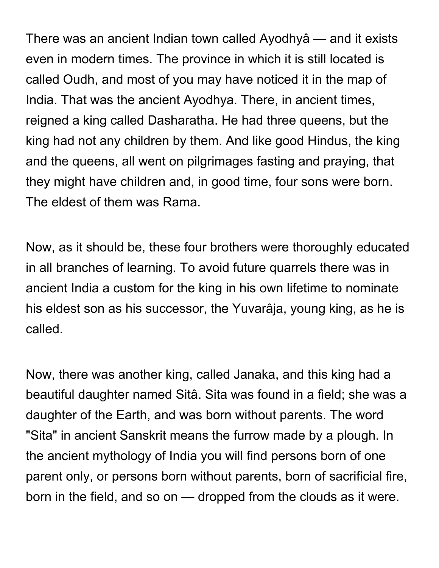There was an ancient Indian town called Ayodhyâ — and it exists even in modern times. The province in which it is still located is called Oudh, and most of you may have noticed it in the map of India. That was the ancient Ayodhya. There, in ancient times, reigned a king called Dasharatha. He had three queens, but the king had not any children by them. And like good Hindus, the king and the queens, all went on pilgrimages fasting and praying, that they might have children and, in good time, four sons were born. The eldest of them was Rama.

Now, as it should be, these four brothers were thoroughly educated in all branches of learning. To avoid future quarrels there was in ancient India a custom for the king in his own lifetime to nominate his eldest son as his successor, the Yuvarâja, young king, as he is called.

Now, there was another king, called Janaka, and this king had a beautiful daughter named Sitâ. Sita was found in a field; she was a daughter of the Earth, and was born without parents. The word "Sita" in ancient Sanskrit means the furrow made by a plough. In the ancient mythology of India you will find persons born of one parent only, or persons born without parents, born of sacrificial fire, born in the field, and so on — dropped from the clouds as it were.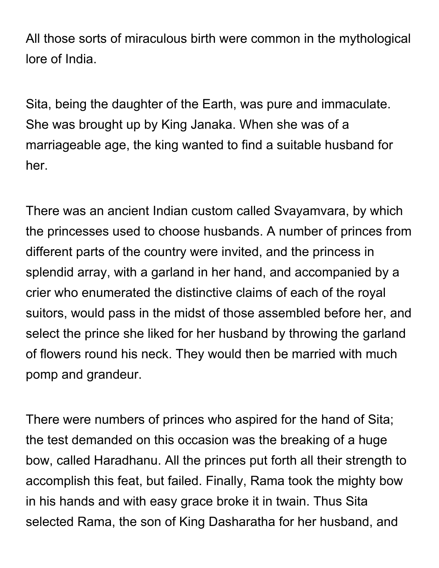All those sorts of miraculous birth were common in the mythological lore of India.

Sita, being the daughter of the Earth, was pure and immaculate. She was brought up by King Janaka. When she was of a marriageable age, the king wanted to find a suitable husband for her.

There was an ancient Indian custom called Svayamvara, by which the princesses used to choose husbands. A number of princes from different parts of the country were invited, and the princess in splendid array, with a garland in her hand, and accompanied by a crier who enumerated the distinctive claims of each of the royal suitors, would pass in the midst of those assembled before her, and select the prince she liked for her husband by throwing the garland of flowers round his neck. They would then be married with much pomp and grandeur.

There were numbers of princes who aspired for the hand of Sita; the test demanded on this occasion was the breaking of a huge bow, called Haradhanu. All the princes put forth all their strength to accomplish this feat, but failed. Finally, Rama took the mighty bow in his hands and with easy grace broke it in twain. Thus Sita selected Rama, the son of King Dasharatha for her husband, and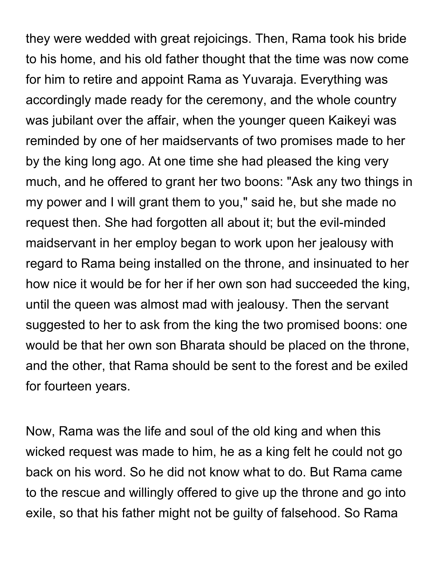they were wedded with great rejoicings. Then, Rama took his bride to his home, and his old father thought that the time was now come for him to retire and appoint Rama as Yuvaraja. Everything was accordingly made ready for the ceremony, and the whole country was jubilant over the affair, when the younger queen Kaikeyi was reminded by one of her maidservants of two promises made to her by the king long ago. At one time she had pleased the king very much, and he offered to grant her two boons: "Ask any two things in my power and I will grant them to you," said he, but she made no request then. She had forgotten all about it; but the evil-minded maidservant in her employ began to work upon her jealousy with regard to Rama being installed on the throne, and insinuated to her how nice it would be for her if her own son had succeeded the king, until the queen was almost mad with jealousy. Then the servant suggested to her to ask from the king the two promised boons: one would be that her own son Bharata should be placed on the throne, and the other, that Rama should be sent to the forest and be exiled for fourteen years.

Now, Rama was the life and soul of the old king and when this wicked request was made to him, he as a king felt he could not go back on his word. So he did not know what to do. But Rama came to the rescue and willingly offered to give up the throne and go into exile, so that his father might not be guilty of falsehood. So Rama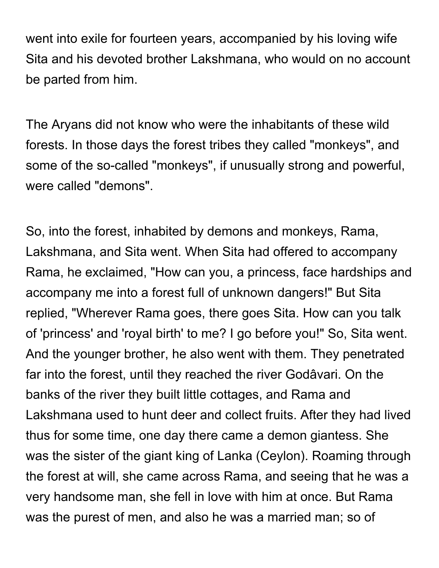went into exile for fourteen years, accompanied by his loving wife Sita and his devoted brother Lakshmana, who would on no account be parted from him.

The Aryans did not know who were the inhabitants of these wild forests. In those days the forest tribes they called "monkeys", and some of the so-called "monkeys", if unusually strong and powerful, were called "demons".

So, into the forest, inhabited by demons and monkeys, Rama, Lakshmana, and Sita went. When Sita had offered to accompany Rama, he exclaimed, "How can you, a princess, face hardships and accompany me into a forest full of unknown dangers!" But Sita replied, "Wherever Rama goes, there goes Sita. How can you talk of 'princess' and 'royal birth' to me? I go before you!" So, Sita went. And the younger brother, he also went with them. They penetrated far into the forest, until they reached the river Godâvari. On the banks of the river they built little cottages, and Rama and Lakshmana used to hunt deer and collect fruits. After they had lived thus for some time, one day there came a demon giantess. She was the sister of the giant king of Lanka (Ceylon). Roaming through the forest at will, she came across Rama, and seeing that he was a very handsome man, she fell in love with him at once. But Rama was the purest of men, and also he was a married man; so of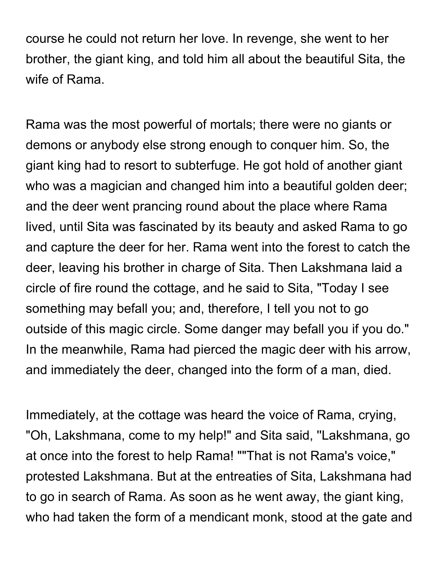course he could not return her love. In revenge, she went to her brother, the giant king, and told him all about the beautiful Sita, the wife of Rama.

Rama was the most powerful of mortals; there were no giants or demons or anybody else strong enough to conquer him. So, the giant king had to resort to subterfuge. He got hold of another giant who was a magician and changed him into a beautiful golden deer; and the deer went prancing round about the place where Rama lived, until Sita was fascinated by its beauty and asked Rama to go and capture the deer for her. Rama went into the forest to catch the deer, leaving his brother in charge of Sita. Then Lakshmana laid a circle of fire round the cottage, and he said to Sita, "Today I see something may befall you; and, therefore, I tell you not to go outside of this magic circle. Some danger may befall you if you do." In the meanwhile, Rama had pierced the magic deer with his arrow, and immediately the deer, changed into the form of a man, died.

Immediately, at the cottage was heard the voice of Rama, crying, "Oh, Lakshmana, come to my help!" and Sita said, ''Lakshmana, go at once into the forest to help Rama! ""That is not Rama's voice," protested Lakshmana. But at the entreaties of Sita, Lakshmana had to go in search of Rama. As soon as he went away, the giant king, who had taken the form of a mendicant monk, stood at the gate and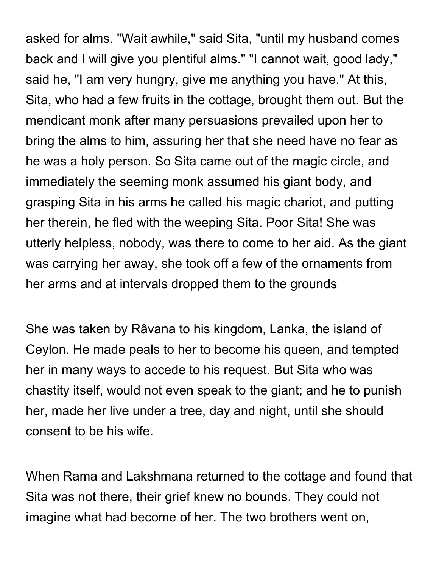asked for alms. "Wait awhile," said Sita, "until my husband comes back and I will give you plentiful alms." "I cannot wait, good lady," said he, "I am very hungry, give me anything you have." At this, Sita, who had a few fruits in the cottage, brought them out. But the mendicant monk after many persuasions prevailed upon her to bring the alms to him, assuring her that she need have no fear as he was a holy person. So Sita came out of the magic circle, and immediately the seeming monk assumed his giant body, and grasping Sita in his arms he called his magic chariot, and putting her therein, he fled with the weeping Sita. Poor Sita! She was utterly helpless, nobody, was there to come to her aid. As the giant was carrying her away, she took off a few of the ornaments from her arms and at intervals dropped them to the grounds

She was taken by Râvana to his kingdom, Lanka, the island of Ceylon. He made peals to her to become his queen, and tempted her in many ways to accede to his request. But Sita who was chastity itself, would not even speak to the giant; and he to punish her, made her live under a tree, day and night, until she should consent to be his wife.

When Rama and Lakshmana returned to the cottage and found that Sita was not there, their grief knew no bounds. They could not imagine what had become of her. The two brothers went on,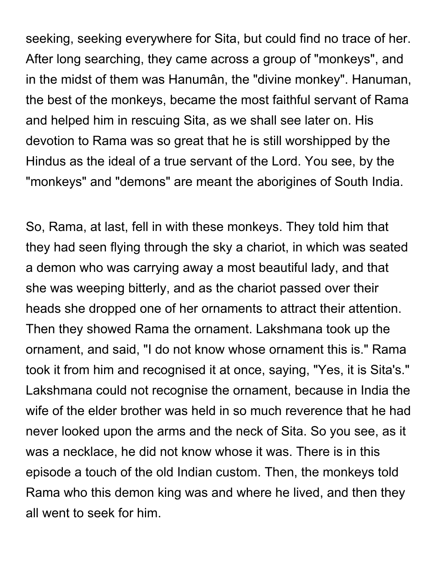seeking, seeking everywhere for Sita, but could find no trace of her. After long searching, they came across a group of "monkeys", and in the midst of them was Hanumân, the "divine monkey". Hanuman, the best of the monkeys, became the most faithful servant of Rama and helped him in rescuing Sita, as we shall see later on. His devotion to Rama was so great that he is still worshipped by the Hindus as the ideal of a true servant of the Lord. You see, by the "monkeys" and "demons" are meant the aborigines of South India.

So, Rama, at last, fell in with these monkeys. They told him that they had seen flying through the sky a chariot, in which was seated a demon who was carrying away a most beautiful lady, and that she was weeping bitterly, and as the chariot passed over their heads she dropped one of her ornaments to attract their attention. Then they showed Rama the ornament. Lakshmana took up the ornament, and said, "I do not know whose ornament this is." Rama took it from him and recognised it at once, saying, "Yes, it is Sita's." Lakshmana could not recognise the ornament, because in India the wife of the elder brother was held in so much reverence that he had never looked upon the arms and the neck of Sita. So you see, as it was a necklace, he did not know whose it was. There is in this episode a touch of the old Indian custom. Then, the monkeys told Rama who this demon king was and where he lived, and then they all went to seek for him.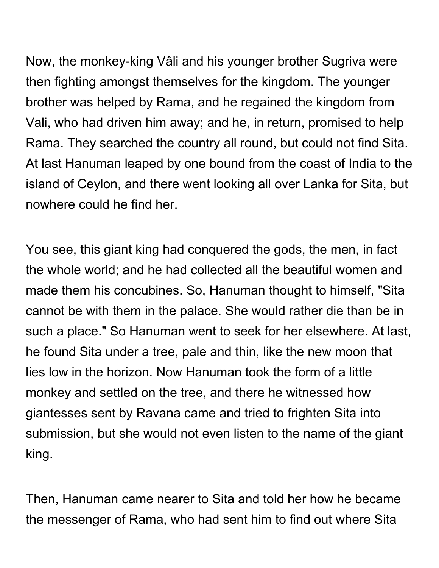Now, the monkey-king Vâli and his younger brother Sugriva were then fighting amongst themselves for the kingdom. The younger brother was helped by Rama, and he regained the kingdom from Vali, who had driven him away; and he, in return, promised to help Rama. They searched the country all round, but could not find Sita. At last Hanuman leaped by one bound from the coast of India to the island of Ceylon, and there went looking all over Lanka for Sita, but nowhere could he find her.

You see, this giant king had conquered the gods, the men, in fact the whole world; and he had collected all the beautiful women and made them his concubines. So, Hanuman thought to himself, "Sita cannot be with them in the palace. She would rather die than be in such a place." So Hanuman went to seek for her elsewhere. At last, he found Sita under a tree, pale and thin, like the new moon that lies low in the horizon. Now Hanuman took the form of a little monkey and settled on the tree, and there he witnessed how giantesses sent by Ravana came and tried to frighten Sita into submission, but she would not even listen to the name of the giant king.

Then, Hanuman came nearer to Sita and told her how he became the messenger of Rama, who had sent him to find out where Sita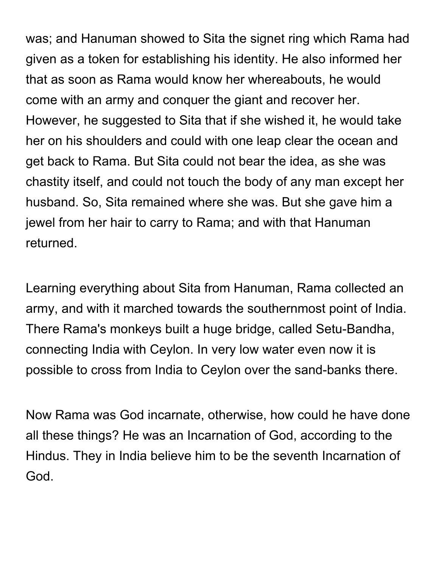was; and Hanuman showed to Sita the signet ring which Rama had given as a token for establishing his identity. He also informed her that as soon as Rama would know her whereabouts, he would come with an army and conquer the giant and recover her. However, he suggested to Sita that if she wished it, he would take her on his shoulders and could with one leap clear the ocean and get back to Rama. But Sita could not bear the idea, as she was chastity itself, and could not touch the body of any man except her husband. So, Sita remained where she was. But she gave him a jewel from her hair to carry to Rama; and with that Hanuman returned.

Learning everything about Sita from Hanuman, Rama collected an army, and with it marched towards the southernmost point of India. There Rama's monkeys built a huge bridge, called Setu-Bandha, connecting India with Ceylon. In very low water even now it is possible to cross from India to Ceylon over the sand-banks there.

Now Rama was God incarnate, otherwise, how could he have done all these things? He was an Incarnation of God, according to the Hindus. They in India believe him to be the seventh Incarnation of God.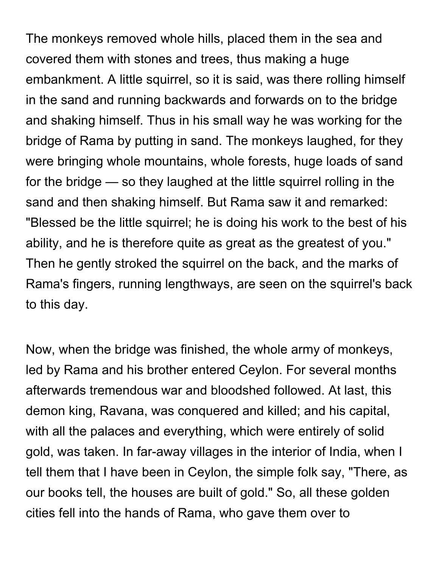The monkeys removed whole hills, placed them in the sea and covered them with stones and trees, thus making a huge embankment. A little squirrel, so it is said, was there rolling himself in the sand and running backwards and forwards on to the bridge and shaking himself. Thus in his small way he was working for the bridge of Rama by putting in sand. The monkeys laughed, for they were bringing whole mountains, whole forests, huge loads of sand for the bridge — so they laughed at the little squirrel rolling in the sand and then shaking himself. But Rama saw it and remarked: "Blessed be the little squirrel; he is doing his work to the best of his ability, and he is therefore quite as great as the greatest of you." Then he gently stroked the squirrel on the back, and the marks of Rama's fingers, running lengthways, are seen on the squirrel's back to this day.

Now, when the bridge was finished, the whole army of monkeys, led by Rama and his brother entered Ceylon. For several months afterwards tremendous war and bloodshed followed. At last, this demon king, Ravana, was conquered and killed; and his capital, with all the palaces and everything, which were entirely of solid gold, was taken. In far-away villages in the interior of India, when I tell them that I have been in Ceylon, the simple folk say, "There, as our books tell, the houses are built of gold." So, all these golden cities fell into the hands of Rama, who gave them over to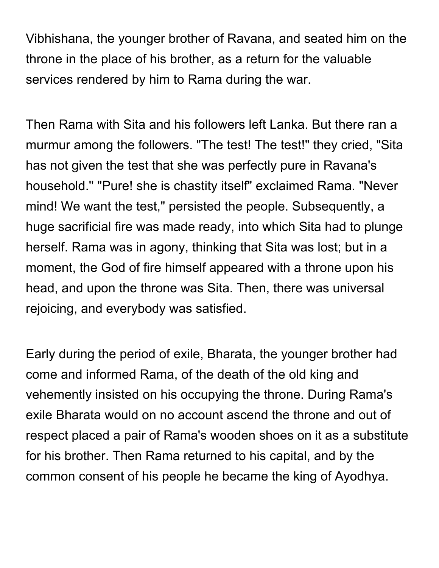Vibhishana, the younger brother of Ravana, and seated him on the throne in the place of his brother, as a return for the valuable services rendered by him to Rama during the war.

Then Rama with Sita and his followers left Lanka. But there ran a murmur among the followers. "The test! The test!" they cried, "Sita has not given the test that she was perfectly pure in Ravana's household.'' "Pure! she is chastity itself" exclaimed Rama. "Never mind! We want the test," persisted the people. Subsequently, a huge sacrificial fire was made ready, into which Sita had to plunge herself. Rama was in agony, thinking that Sita was lost; but in a moment, the God of fire himself appeared with a throne upon his head, and upon the throne was Sita. Then, there was universal rejoicing, and everybody was satisfied.

Early during the period of exile, Bharata, the younger brother had come and informed Rama, of the death of the old king and vehemently insisted on his occupying the throne. During Rama's exile Bharata would on no account ascend the throne and out of respect placed a pair of Rama's wooden shoes on it as a substitute for his brother. Then Rama returned to his capital, and by the common consent of his people he became the king of Ayodhya.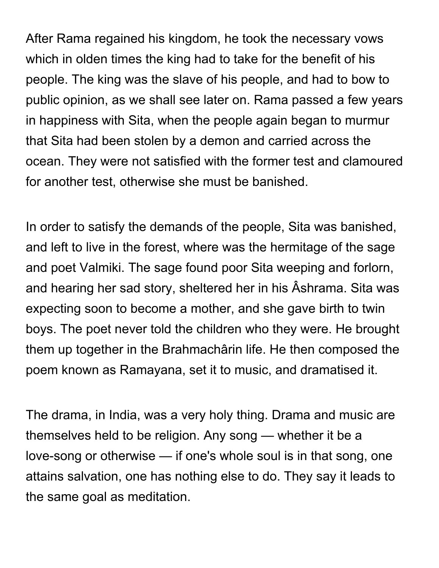After Rama regained his kingdom, he took the necessary vows which in olden times the king had to take for the benefit of his people. The king was the slave of his people, and had to bow to public opinion, as we shall see later on. Rama passed a few years in happiness with Sita, when the people again began to murmur that Sita had been stolen by a demon and carried across the ocean. They were not satisfied with the former test and clamoured for another test, otherwise she must be banished.

In order to satisfy the demands of the people, Sita was banished, and left to live in the forest, where was the hermitage of the sage and poet Valmiki. The sage found poor Sita weeping and forlorn, and hearing her sad story, sheltered her in his Âshrama. Sita was expecting soon to become a mother, and she gave birth to twin boys. The poet never told the children who they were. He brought them up together in the Brahmachârin life. He then composed the poem known as Ramayana, set it to music, and dramatised it.

The drama, in India, was a very holy thing. Drama and music are themselves held to be religion. Any song — whether it be a love-song or otherwise — if one's whole soul is in that song, one attains salvation, one has nothing else to do. They say it leads to the same goal as meditation.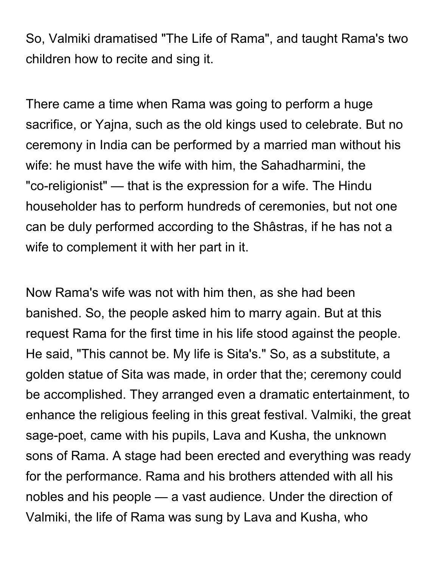So, Valmiki dramatised "The Life of Rama", and taught Rama's two children how to recite and sing it.

There came a time when Rama was going to perform a huge sacrifice, or Yajna, such as the old kings used to celebrate. But no ceremony in India can be performed by a married man without his wife: he must have the wife with him, the Sahadharmini, the "co-religionist" — that is the expression for a wife. The Hindu householder has to perform hundreds of ceremonies, but not one can be duly performed according to the Shâstras, if he has not a wife to complement it with her part in it.

Now Rama's wife was not with him then, as she had been banished. So, the people asked him to marry again. But at this request Rama for the first time in his life stood against the people. He said, "This cannot be. My life is Sita's." So, as a substitute, a golden statue of Sita was made, in order that the; ceremony could be accomplished. They arranged even a dramatic entertainment, to enhance the religious feeling in this great festival. Valmiki, the great sage-poet, came with his pupils, Lava and Kusha, the unknown sons of Rama. A stage had been erected and everything was ready for the performance. Rama and his brothers attended with all his nobles and his people — a vast audience. Under the direction of Valmiki, the life of Rama was sung by Lava and Kusha, who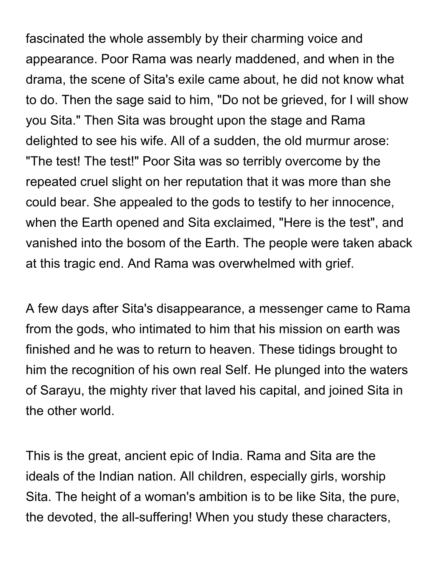fascinated the whole assembly by their charming voice and appearance. Poor Rama was nearly maddened, and when in the drama, the scene of Sita's exile came about, he did not know what to do. Then the sage said to him, "Do not be grieved, for I will show you Sita." Then Sita was brought upon the stage and Rama delighted to see his wife. All of a sudden, the old murmur arose: "The test! The test!" Poor Sita was so terribly overcome by the repeated cruel slight on her reputation that it was more than she could bear. She appealed to the gods to testify to her innocence, when the Earth opened and Sita exclaimed, "Here is the test", and vanished into the bosom of the Earth. The people were taken aback at this tragic end. And Rama was overwhelmed with grief.

A few days after Sita's disappearance, a messenger came to Rama from the gods, who intimated to him that his mission on earth was finished and he was to return to heaven. These tidings brought to him the recognition of his own real Self. He plunged into the waters of Sarayu, the mighty river that laved his capital, and joined Sita in the other world.

This is the great, ancient epic of India. Rama and Sita are the ideals of the Indian nation. All children, especially girls, worship Sita. The height of a woman's ambition is to be like Sita, the pure, the devoted, the all-suffering! When you study these characters,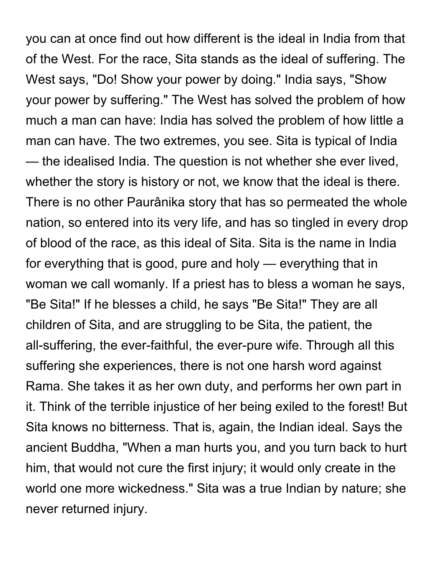you can at once find out how different is the ideal in India from that of the West. For the race, Sita stands as the ideal of suffering. The West says, "Do! Show your power by doing." India says, "Show your power by suffering." The West has solved the problem of how much a man can have: India has solved the problem of how little a man can have. The two extremes, you see. Sita is typical of India — the idealised India. The question is not whether she ever lived, whether the story is history or not, we know that the ideal is there. There is no other Paurânika story that has so permeated the whole nation, so entered into its very life, and has so tingled in every drop of blood of the race, as this ideal of Sita. Sita is the name in India for everything that is good, pure and holy — everything that in woman we call womanly. If a priest has to bless a woman he says, "Be Sita!" If he blesses a child, he says "Be Sita!" They are all children of Sita, and are struggling to be Sita, the patient, the all-suffering, the ever-faithful, the ever-pure wife. Through all this suffering she experiences, there is not one harsh word against Rama. She takes it as her own duty, and performs her own part in it. Think of the terrible injustice of her being exiled to the forest! But Sita knows no bitterness. That is, again, the Indian ideal. Says the ancient Buddha, "When a man hurts you, and you turn back to hurt him, that would not cure the first injury; it would only create in the world one more wickedness." Sita was a true Indian by nature; she never returned injury.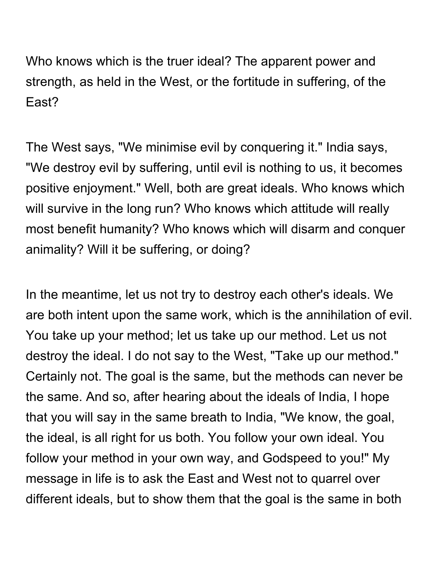Who knows which is the truer ideal? The apparent power and strength, as held in the West, or the fortitude in suffering, of the East?

The West says, "We minimise evil by conquering it." India says, "We destroy evil by suffering, until evil is nothing to us, it becomes positive enjoyment." Well, both are great ideals. Who knows which will survive in the long run? Who knows which attitude will really most benefit humanity? Who knows which will disarm and conquer animality? Will it be suffering, or doing?

In the meantime, let us not try to destroy each other's ideals. We are both intent upon the same work, which is the annihilation of evil. You take up your method; let us take up our method. Let us not destroy the ideal. I do not say to the West, "Take up our method." Certainly not. The goal is the same, but the methods can never be the same. And so, after hearing about the ideals of India, I hope that you will say in the same breath to India, "We know, the goal, the ideal, is all right for us both. You follow your own ideal. You follow your method in your own way, and Godspeed to you!" My message in life is to ask the East and West not to quarrel over different ideals, but to show them that the goal is the same in both